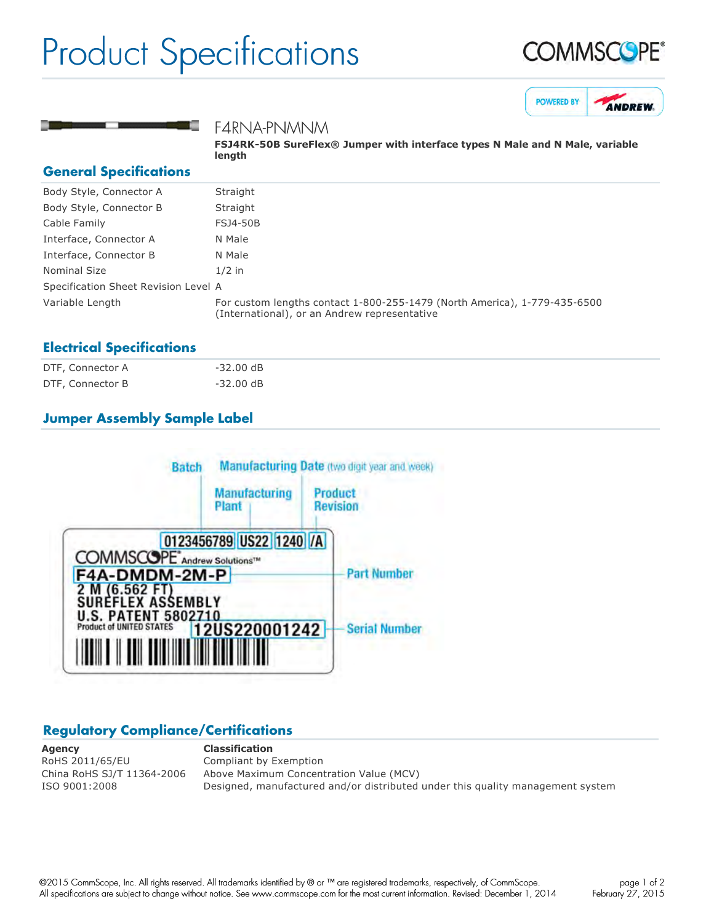## Product Specifications







#### F4RNA-PNMNM

**FSJ4RK50B SureFlex® Jumper with interface types N Male and N Male, variable length**

#### **General Specifications**

| Body Style, Connector A              | Straight                                                                                                                  |
|--------------------------------------|---------------------------------------------------------------------------------------------------------------------------|
| Body Style, Connector B              | Straight                                                                                                                  |
| Cable Family                         | <b>FSJ4-50B</b>                                                                                                           |
| Interface, Connector A               | N Male                                                                                                                    |
| Interface, Connector B               | N Male                                                                                                                    |
| Nominal Size                         | $1/2$ in                                                                                                                  |
| Specification Sheet Revision Level A |                                                                                                                           |
| Variable Length                      | For custom lengths contact 1-800-255-1479 (North America), 1-779-435-6500<br>(International), or an Andrew representative |

#### **Electrical Specifications**

| DTF, Connector A | $-32.00 \text{ dB}$ |
|------------------|---------------------|
| DTF, Connector B | $-32.00$ dB         |

### **Jumper Assembly Sample Label**



#### **Regulatory Compliance/Certifications**

**Agency Classification** RoHS 2011/65/EU Compliant by Exemption

China RoHS SJ/T 11364-2006 Above Maximum Concentration Value (MCV) ISO 9001:2008 Designed, manufactured and/or distributed under this quality management system